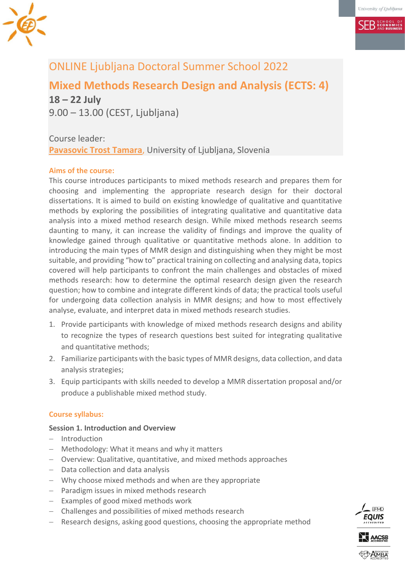

# **SEB** ECONOMICS

# ONLINE Ljubljana Doctoral Summer School 2022

**Mixed Methods Research Design and Analysis (ECTS: 4)**

**18 – 22 July** 9.00 – 13.00 (CEST, Ljubljana)

Course leader: **[Pavasovic Trost Tamara](mailto:tamara.trost@ef.uni-lj.si)**, University of Ljubljana, Slovenia

## **Aims of the course:**

This course introduces participants to mixed methods research and prepares them for choosing and implementing the appropriate research design for their doctoral dissertations. It is aimed to build on existing knowledge of qualitative and quantitative methods by exploring the possibilities of integrating qualitative and quantitative data analysis into a mixed method research design. While mixed methods research seems daunting to many, it can increase the validity of findings and improve the quality of knowledge gained through qualitative or quantitative methods alone. In addition to introducing the main types of MMR design and distinguishing when they might be most suitable, and providing "how to" practical training on collecting and analysing data, topics covered will help participants to confront the main challenges and obstacles of mixed methods research: how to determine the optimal research design given the research question; how to combine and integrate different kinds of data; the practical tools useful for undergoing data collection analysis in MMR designs; and how to most effectively analyse, evaluate, and interpret data in mixed methods research studies.

- 1. Provide participants with knowledge of mixed methods research designs and ability to recognize the types of research questions best suited for integrating qualitative and quantitative methods;
- 2. Familiarize participants with the basic types of MMR designs, data collection, and data analysis strategies;
- 3. Equip participants with skills needed to develop a MMR dissertation proposal and/or produce a publishable mixed method study.

## **Course syllabus:**

## **Session 1. Introduction and Overview**

- $-$  Introduction
- Methodology: What it means and why it matters
- Overview: Qualitative, quantitative, and mixed methods approaches
- $-$  Data collection and data analysis
- Why choose mixed methods and when are they appropriate
- Paradigm issues in mixed methods research
- $-$  Examples of good mixed methods work
- Challenges and possibilities of mixed methods research
- Research designs, asking good questions, choosing the appropriate method

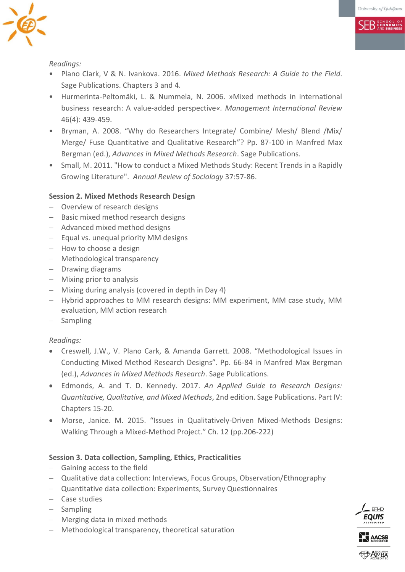**SEB** ECONOMICS



*Readings:*

- Plano Clark, V & N. Ivankova. 2016. *Mixed Methods Research: A Guide to the Field*. Sage Publications. Chapters 3 and 4.
- Hurmerinta-Peltomäki, L. & Nummela, N. 2006. »Mixed methods in international business research: A value-added perspective*«. Management International Review* 46(4): 439-459.
- Bryman, A. 2008. "Why do Researchers Integrate/ Combine/ Mesh/ Blend /Mix/ Merge/ Fuse Quantitative and Qualitative Research"? Pp. 87-100 in Manfred Max Bergman (ed.), *Advances in Mixed Methods Research*. Sage Publications.
- Small, M. 2011. "How to conduct a Mixed Methods Study: Recent Trends in a Rapidly Growing Literature". *Annual Review of Sociology* 37:57-86.

## **Session 2. Mixed Methods Research Design**

- Overview of research designs
- Basic mixed method research designs
- Advanced mixed method designs
- $-$  Equal vs. unequal priority MM designs
- How to choose a design
- Methodological transparency
- Drawing diagrams
- Mixing prior to analysis
- Mixing during analysis (covered in depth in Day 4)
- Hybrid approaches to MM research designs: MM experiment, MM case study, MM evaluation, MM action research
- Sampling

## *Readings:*

- Creswell, J.W., V. Plano Cark, & Amanda Garrett. 2008. "Methodological Issues in Conducting Mixed Method Research Designs". Pp. 66-84 in Manfred Max Bergman (ed.), *Advances in Mixed Methods Research*. Sage Publications.
- Edmonds, A. and T. D. Kennedy. 2017. *An Applied Guide to Research Designs: Quantitative, Qualitative, and Mixed Methods*, 2nd edition. Sage Publications. Part IV: Chapters 15-20.
- Morse, Janice. M. 2015. "Issues in Qualitatively-Driven Mixed-Methods Designs: Walking Through a Mixed-Method Project." Ch. 12 (pp.206-222)

## **Session 3. Data collection, Sampling, Ethics, Practicalities**

- Gaining access to the field
- Qualitative data collection: Interviews, Focus Groups, Observation/Ethnography
- Quantitative data collection: Experiments, Survey Questionnaires
- Case studies
- Sampling
- Merging data in mixed methods
- Methodological transparency, theoretical saturation

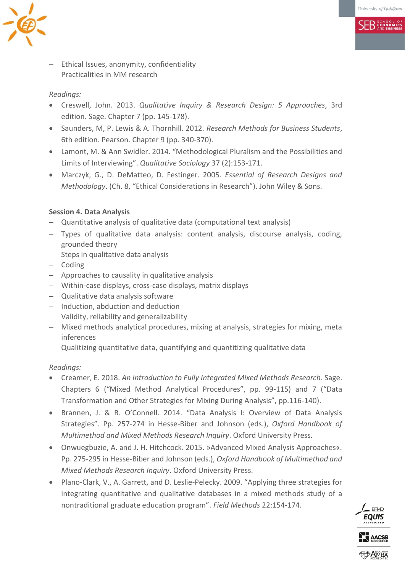**SER ECONOMICS** 



- Ethical Issues, anonymity, confidentiality
- Practicalities in MM research

### *Readings:*

- Creswell, John. 2013. *Qualitative Inquiry & Research Design: 5 Approaches*, 3rd edition. Sage. Chapter 7 (pp. 145-178).
- Saunders, M, P. Lewis & A. Thornhill. 2012. *Research Methods for Business Students*, 6th edition. Pearson. Chapter 9 (pp. 340-370).
- Lamont, M. & Ann Swidler. 2014. "Methodological Pluralism and the Possibilities and Limits of Interviewing". *Qualitative Sociology* 37 (2):153-171.
- Marczyk, G., D. DeMatteo, D. Festinger. 2005. *Essential of Research Designs and Methodology*. (Ch. 8, "Ethical Considerations in Research"). John Wiley & Sons.

### **Session 4. Data Analysis**

- Quantitative analysis of qualitative data (computational text analysis)
- Types of qualitative data analysis: content analysis, discourse analysis, coding, grounded theory
- $-$  Steps in qualitative data analysis
- $-$  Coding
- Approaches to causality in qualitative analysis
- Within-case displays, cross-case displays, matrix displays
- Qualitative data analysis software
- $-$  Induction, abduction and deduction
- Validity, reliability and generalizability
- Mixed methods analytical procedures, mixing at analysis, strategies for mixing, meta inferences
- Qualitizing quantitative data, quantifying and quantitizing qualitative data

#### *Readings:*

- Creamer, E. 2018. *An Introduction to Fully Integrated Mixed Methods Research*. Sage. Chapters 6 ("Mixed Method Analytical Procedures", pp. 99-115) and 7 ("Data Transformation and Other Strategies for Mixing During Analysis", pp.116-140).
- Brannen, J. & R. O'Connell. 2014. "Data Analysis I: Overview of Data Analysis Strategies". Pp. 257-274 in Hesse-Biber and Johnson (eds.), *Oxford Handbook of Multimethod and Mixed Methods Research Inquiry*. Oxford University Press.
- Onwuegbuzie, A. and J. H. Hitchcock. 2015. »Advanced Mixed Analysis Approaches«. Pp. 275-295 in Hesse-Biber and Johnson (eds.), *Oxford Handbook of Multimethod and Mixed Methods Research Inquiry*. Oxford University Press.
- Plano-Clark, V., A. Garrett, and D. Leslie-Pelecky. 2009. "Applying three strategies for integrating quantitative and qualitative databases in a mixed methods study of a nontraditional graduate education program". *Field Methods* 22:154-174.